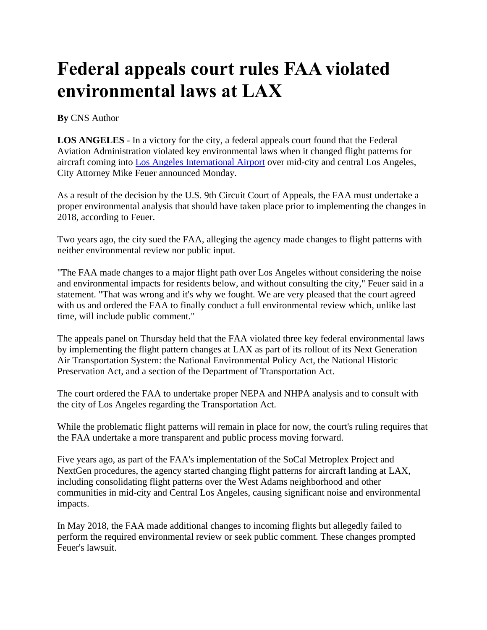## **Federal appeals court rules FAA violated environmental laws at LAX**

## **By** CNS Author

**LOS ANGELES** - In a victory for the city, a federal appeals court found that the Federal Aviation Administration violated key environmental laws when it changed flight patterns for aircraft coming into [Los Angeles International Airport](https://www.foxla.com/tag/transportation/lax) over mid-city and central Los Angeles, City Attorney Mike Feuer announced Monday.

As a result of the decision by the U.S. 9th Circuit Court of Appeals, the FAA must undertake a proper environmental analysis that should have taken place prior to implementing the changes in 2018, according to Feuer.

Two years ago, the city sued the FAA, alleging the agency made changes to flight patterns with neither environmental review nor public input.

"The FAA made changes to a major flight path over Los Angeles without considering the noise and environmental impacts for residents below, and without consulting the city," Feuer said in a statement. "That was wrong and it's why we fought. We are very pleased that the court agreed with us and ordered the FAA to finally conduct a full environmental review which, unlike last time, will include public comment."

The appeals panel on Thursday held that the FAA violated three key federal environmental laws by implementing the flight pattern changes at LAX as part of its rollout of its Next Generation Air Transportation System: the National Environmental Policy Act, the National Historic Preservation Act, and a section of the Department of Transportation Act.

The court ordered the FAA to undertake proper NEPA and NHPA analysis and to consult with the city of Los Angeles regarding the Transportation Act.

While the problematic flight patterns will remain in place for now, the court's ruling requires that the FAA undertake a more transparent and public process moving forward.

Five years ago, as part of the FAA's implementation of the SoCal Metroplex Project and NextGen procedures, the agency started changing flight patterns for aircraft landing at LAX, including consolidating flight patterns over the West Adams neighborhood and other communities in mid-city and Central Los Angeles, causing significant noise and environmental impacts.

In May 2018, the FAA made additional changes to incoming flights but allegedly failed to perform the required environmental review or seek public comment. These changes prompted Feuer's lawsuit.